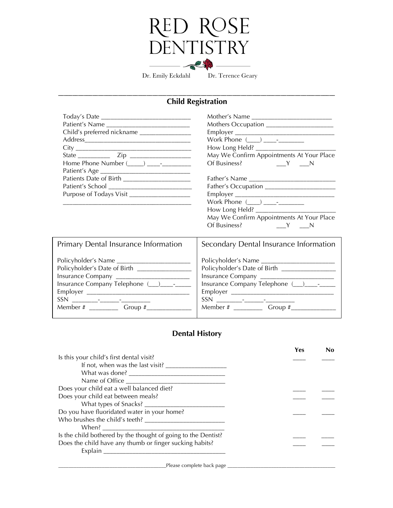## RED ROSE<br>DENTISTRY 25

Dr. Emily Eckdahl Dr. Terence Geary

## \_\_\_\_\_\_\_\_\_\_\_\_\_\_\_\_\_\_\_\_\_\_\_\_\_\_\_\_\_\_\_\_\_\_\_\_\_\_\_\_\_\_\_\_\_\_\_\_\_\_\_\_\_\_\_\_\_\_\_\_\_\_\_\_\_\_\_\_\_\_\_\_\_\_\_\_\_\_\_\_\_\_\_\_\_\_\_\_\_\_\_\_\_\_\_\_\_ **Child Registration**

| Patient's Name<br>Child's preferred nickname ________________                                                                               | Mothers Occupation ______________________<br>May We Confirm Appointments At Your Place                                                    |  |  |
|---------------------------------------------------------------------------------------------------------------------------------------------|-------------------------------------------------------------------------------------------------------------------------------------------|--|--|
| Patients Date of Birth ________________________                                                                                             |                                                                                                                                           |  |  |
| Purpose of Todays Visit _________________                                                                                                   | Father's Occupation _______________________<br>May We Confirm Appointments At Your Place                                                  |  |  |
| Primary Dental Insurance Information                                                                                                        | Secondary Dental Insurance Information                                                                                                    |  |  |
| Policyholder's Date of Birth _________________<br>Insurance Company ________________________<br>Member # ___________ Group #_______________ | Policyholder's Date of Birth ________________<br>Insurance Company _________________________<br>Insurance Company Telephone (__)___-_-___ |  |  |

## **Dental History**

|                                                               | Yes | No |
|---------------------------------------------------------------|-----|----|
| Is this your child's first dental visit?                      |     |    |
|                                                               |     |    |
|                                                               |     |    |
| Name of Office                                                |     |    |
| Does your child eat a well balanced diet?                     |     |    |
| Does your child eat between meals?                            |     |    |
| What types of Snacks?                                         |     |    |
| Do you have fluoridated water in your home?                   |     |    |
|                                                               |     |    |
|                                                               |     |    |
| Is the child bothered by the thought of going to the Dentist? |     |    |
| Does the child have any thumb or finger sucking habits?       |     |    |
| Explain                                                       |     |    |
|                                                               |     |    |

\_Please complete back page \_